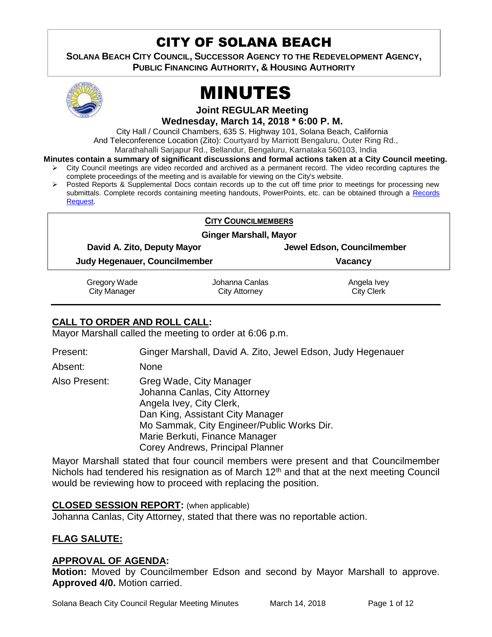## CITY OF SOLANA BEACH

**SOLANA BEACH CITY COUNCIL, SUCCESSOR AGENCY TO THE REDEVELOPMENT AGENCY, PUBLIC FINANCING AUTHORITY, & HOUSING AUTHORITY** 



# MINUTES

**Joint REGULAR Meeting**

**Wednesday, March 14, 2018 \* 6:00 P. M.**

City Hall / Council Chambers, 635 S. Highway 101, Solana Beach, California

And Teleconference Location (Zito): Courtyard by Marriott Bengaluru, Outer Ring Rd.,

Marathahalli Sarjapur Rd., Bellandur, Bengaluru, Karnataka 560103, India

- **Minutes contain a summary of significant discussions and formal actions taken at a City Council meeting.** City Council meetings are video recorded and archived as a permanent record. The video recording captures the
	- complete proceedings of the meeting and is available for viewing on the City's website.
	- $\triangleright$  Posted Reports & Supplemental Docs contain records up to the cut off time prior to meetings for processing new submittals. Complete records containing meeting handouts, PowerPoints, etc. can be obtained through a Records [Request.](http://www.ci.solana-beach.ca.us/index.asp?SEC=F5D45D10-70CE-4291-A27C-7BD633FC6742&Type=B_BASIC)

#### **CITY COUNCILMEMBERS**

**Ginger Marshall, Mayor**

**David A. Zito, Deputy Mayor Jewel Edson, Councilmember**

**Judy Hegenauer, Councilmember Vacancy**

Gregory Wade City Manager

Johanna Canlas City Attorney

Angela Ivey City Clerk

## **CALL TO ORDER AND ROLL CALL:**

Mayor Marshall called the meeting to order at 6:06 p.m.

Present: Ginger Marshall, David A. Zito, Jewel Edson, Judy Hegenauer

Absent: None

Also Present: Greg Wade, City Manager

Johanna Canlas, City Attorney Angela Ivey, City Clerk, Dan King, Assistant City Manager Mo Sammak, City Engineer/Public Works Dir. Marie Berkuti, Finance Manager Corey Andrews, Principal Planner

Mayor Marshall stated that four council members were present and that Councilmember Nichols had tendered his resignation as of March 12<sup>th</sup> and that at the next meeting Council would be reviewing how to proceed with replacing the position.

## **CLOSED SESSION REPORT:** (when applicable)

Johanna Canlas, City Attorney, stated that there was no reportable action.

## **FLAG SALUTE:**

## **APPROVAL OF AGENDA:**

**Motion:** Moved by Councilmember Edson and second by Mayor Marshall to approve. **Approved 4/0.** Motion carried.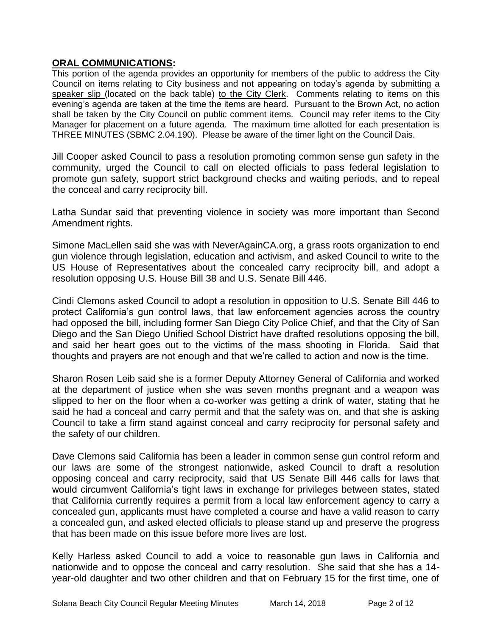#### **ORAL COMMUNICATIONS:**

This portion of the agenda provides an opportunity for members of the public to address the City Council on items relating to City business and not appearing on today's agenda by submitting a speaker slip (located on the back table) to the City Clerk. Comments relating to items on this evening's agenda are taken at the time the items are heard. Pursuant to the Brown Act, no action shall be taken by the City Council on public comment items. Council may refer items to the City Manager for placement on a future agenda. The maximum time allotted for each presentation is THREE MINUTES (SBMC 2.04.190). Please be aware of the timer light on the Council Dais.

Jill Cooper asked Council to pass a resolution promoting common sense gun safety in the community, urged the Council to call on elected officials to pass federal legislation to promote gun safety, support strict background checks and waiting periods, and to repeal the conceal and carry reciprocity bill.

Latha Sundar said that preventing violence in society was more important than Second Amendment rights.

Simone MacLellen said she was with NeverAgainCA.org, a grass roots organization to end gun violence through legislation, education and activism, and asked Council to write to the US House of Representatives about the concealed carry reciprocity bill, and adopt a resolution opposing U.S. House Bill 38 and U.S. Senate Bill 446.

Cindi Clemons asked Council to adopt a resolution in opposition to U.S. Senate Bill 446 to protect California's gun control laws, that law enforcement agencies across the country had opposed the bill, including former San Diego City Police Chief, and that the City of San Diego and the San Diego Unified School District have drafted resolutions opposing the bill, and said her heart goes out to the victims of the mass shooting in Florida. Said that thoughts and prayers are not enough and that we're called to action and now is the time.

Sharon Rosen Leib said she is a former Deputy Attorney General of California and worked at the department of justice when she was seven months pregnant and a weapon was slipped to her on the floor when a co-worker was getting a drink of water, stating that he said he had a conceal and carry permit and that the safety was on, and that she is asking Council to take a firm stand against conceal and carry reciprocity for personal safety and the safety of our children.

Dave Clemons said California has been a leader in common sense gun control reform and our laws are some of the strongest nationwide, asked Council to draft a resolution opposing conceal and carry reciprocity, said that US Senate Bill 446 calls for laws that would circumvent California's tight laws in exchange for privileges between states, stated that California currently requires a permit from a local law enforcement agency to carry a concealed gun, applicants must have completed a course and have a valid reason to carry a concealed gun, and asked elected officials to please stand up and preserve the progress that has been made on this issue before more lives are lost.

Kelly Harless asked Council to add a voice to reasonable gun laws in California and nationwide and to oppose the conceal and carry resolution. She said that she has a 14 year-old daughter and two other children and that on February 15 for the first time, one of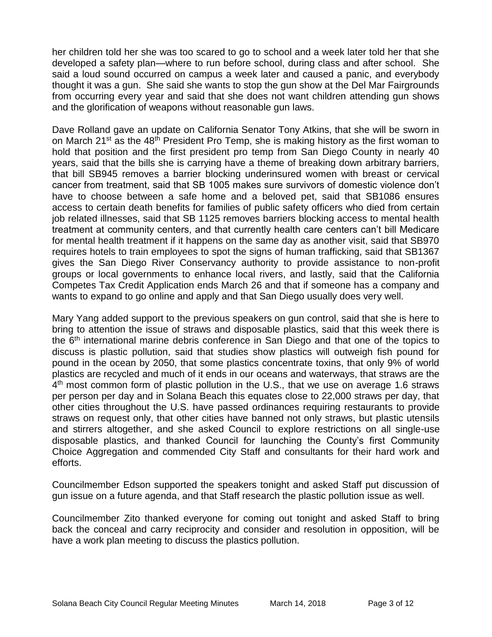her children told her she was too scared to go to school and a week later told her that she developed a safety plan—where to run before school, during class and after school. She said a loud sound occurred on campus a week later and caused a panic, and everybody thought it was a gun. She said she wants to stop the gun show at the Del Mar Fairgrounds from occurring every year and said that she does not want children attending gun shows and the glorification of weapons without reasonable gun laws.

Dave Rolland gave an update on California Senator Tony Atkins, that she will be sworn in on March 21<sup>st</sup> as the 48<sup>th</sup> President Pro Temp, she is making history as the first woman to hold that position and the first president pro temp from San Diego County in nearly 40 years, said that the bills she is carrying have a theme of breaking down arbitrary barriers, that bill SB945 removes a barrier blocking underinsured women with breast or cervical cancer from treatment, said that SB 1005 makes sure survivors of domestic violence don't have to choose between a safe home and a beloved pet, said that SB1086 ensures access to certain death benefits for families of public safety officers who died from certain job related illnesses, said that SB 1125 removes barriers blocking access to mental health treatment at community centers, and that currently health care centers can't bill Medicare for mental health treatment if it happens on the same day as another visit, said that SB970 requires hotels to train employees to spot the signs of human trafficking, said that SB1367 gives the San Diego River Conservancy authority to provide assistance to non-profit groups or local governments to enhance local rivers, and lastly, said that the California Competes Tax Credit Application ends March 26 and that if someone has a company and wants to expand to go online and apply and that San Diego usually does very well.

Mary Yang added support to the previous speakers on gun control, said that she is here to bring to attention the issue of straws and disposable plastics, said that this week there is the 6<sup>th</sup> international marine debris conference in San Diego and that one of the topics to discuss is plastic pollution, said that studies show plastics will outweigh fish pound for pound in the ocean by 2050, that some plastics concentrate toxins, that only 9% of world plastics are recycled and much of it ends in our oceans and waterways, that straws are the 4<sup>th</sup> most common form of plastic pollution in the U.S., that we use on average 1.6 straws per person per day and in Solana Beach this equates close to 22,000 straws per day, that other cities throughout the U.S. have passed ordinances requiring restaurants to provide straws on request only, that other cities have banned not only straws, but plastic utensils and stirrers altogether, and she asked Council to explore restrictions on all single-use disposable plastics, and thanked Council for launching the County's first Community Choice Aggregation and commended City Staff and consultants for their hard work and efforts.

Councilmember Edson supported the speakers tonight and asked Staff put discussion of gun issue on a future agenda, and that Staff research the plastic pollution issue as well.

Councilmember Zito thanked everyone for coming out tonight and asked Staff to bring back the conceal and carry reciprocity and consider and resolution in opposition, will be have a work plan meeting to discuss the plastics pollution.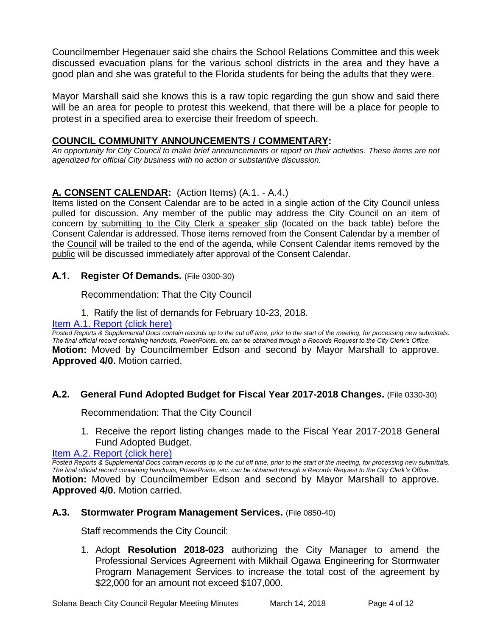Councilmember Hegenauer said she chairs the School Relations Committee and this week discussed evacuation plans for the various school districts in the area and they have a good plan and she was grateful to the Florida students for being the adults that they were.

Mayor Marshall said she knows this is a raw topic regarding the gun show and said there will be an area for people to protest this weekend, that there will be a place for people to protest in a specified area to exercise their freedom of speech.

#### **COUNCIL COMMUNITY ANNOUNCEMENTS / COMMENTARY:**

*An opportunity for City Council to make brief announcements or report on their activities. These items are not agendized for official City business with no action or substantive discussion.* 

## **A. CONSENT CALENDAR:** (Action Items) (A.1. - A.4.)

Items listed on the Consent Calendar are to be acted in a single action of the City Council unless pulled for discussion. Any member of the public may address the City Council on an item of concern by submitting to the City Clerk a speaker slip (located on the back table) before the Consent Calendar is addressed. Those items removed from the Consent Calendar by a member of the Council will be trailed to the end of the agenda, while Consent Calendar items removed by the public will be discussed immediately after approval of the Consent Calendar.

#### **A.1. Register Of Demands.** (File 0300-30)

#### Recommendation: That the City Council

#### 1. Ratify the list of demands for February 10-23, 2018.

#### [Item A.1. Report \(click here\)](https://solanabeach.govoffice3.com/vertical/Sites/%7B840804C2-F869-4904-9AE3-720581350CE7%7D/uploads/Item_A.1._Report_(click_here)_-_3-14-18.PDF)

*Posted Reports & Supplemental Docs contain records up to the cut off time, prior to the start of the meeting, for processing new submittals. The final official record containing handouts, PowerPoints, etc. can be obtained through a Records Request to the City Clerk's Office.* **Motion:** Moved by Councilmember Edson and second by Mayor Marshall to approve. **Approved 4/0.** Motion carried.

#### **A.2. General Fund Adopted Budget for Fiscal Year 2017-2018 Changes.** (File 0330-30)

Recommendation: That the City Council

1. Receive the report listing changes made to the Fiscal Year 2017-2018 General Fund Adopted Budget.

[Item A.2. Report \(click here\)](https://solanabeach.govoffice3.com/vertical/Sites/%7B840804C2-F869-4904-9AE3-720581350CE7%7D/uploads/Item_A.2._Report_(click_here)_-_3-14-18.PDF)

*Posted Reports & Supplemental Docs contain records up to the cut off time, prior to the start of the meeting, for processing new submittals. The final official record containing handouts, PowerPoints, etc. can be obtained through a Records Request to the City Clerk's Office.* **Motion:** Moved by Councilmember Edson and second by Mayor Marshall to approve. **Approved 4/0.** Motion carried.

#### **A.3. Stormwater Program Management Services.** (File 0850-40)

Staff recommends the City Council:

1. Adopt **Resolution 2018-023** authorizing the City Manager to amend the Professional Services Agreement with Mikhail Ogawa Engineering for Stormwater Program Management Services to increase the total cost of the agreement by \$22,000 for an amount not exceed \$107,000.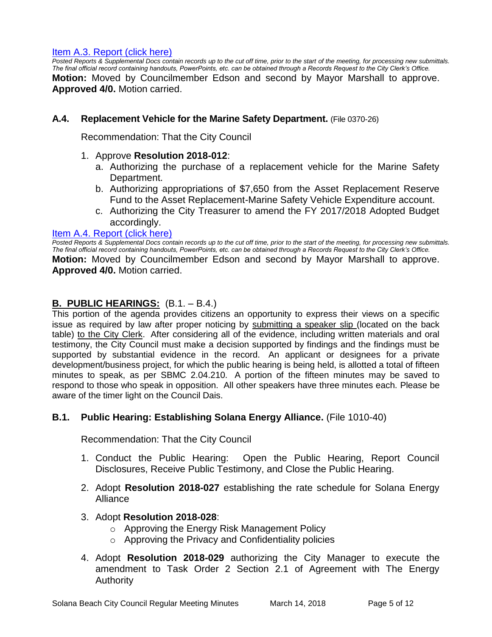#### [Item A.3. Report \(click here\)](https://solanabeach.govoffice3.com/vertical/Sites/%7B840804C2-F869-4904-9AE3-720581350CE7%7D/uploads/Item_A.3._Report_(click_here)_-_3-14-18.PDF)

**Posted Reports & Supplemental Docs contain records up to the cut off time, prior to the start of the meeting, for processing new submittals.** *The final official record containing handouts, PowerPoints, etc. can be obtained through a Records Request to the City Clerk's Office.* **Motion:** Moved by Councilmember Edson and second by Mayor Marshall to approve. **Approved 4/0.** Motion carried.

#### **A.4. Replacement Vehicle for the Marine Safety Department.** (File 0370-26)

Recommendation: That the City Council

#### 1. Approve **Resolution 2018-012**:

- a. Authorizing the purchase of a replacement vehicle for the Marine Safety Department.
- b. Authorizing appropriations of \$7,650 from the Asset Replacement Reserve Fund to the Asset Replacement-Marine Safety Vehicle Expenditure account.
- c. Authorizing the City Treasurer to amend the FY 2017/2018 Adopted Budget accordingly.

#### [Item A.4. Report \(click here\)](https://solanabeach.govoffice3.com/vertical/Sites/%7B840804C2-F869-4904-9AE3-720581350CE7%7D/uploads/Item_A.4._Report_(click_here)_-_3-14-18.PDF)

*Posted Reports & Supplemental Docs contain records up to the cut off time, prior to the start of the meeting, for processing new submittals. The final official record containing handouts, PowerPoints, etc. can be obtained through a Records Request to the City Clerk's Office.* **Motion:** Moved by Councilmember Edson and second by Mayor Marshall to approve. **Approved 4/0.** Motion carried.

#### **B. PUBLIC HEARINGS:** (B.1. – B.4.)

This portion of the agenda provides citizens an opportunity to express their views on a specific issue as required by law after proper noticing by submitting a speaker slip (located on the back table) to the City Clerk. After considering all of the evidence, including written materials and oral testimony, the City Council must make a decision supported by findings and the findings must be supported by substantial evidence in the record. An applicant or designees for a private development/business project, for which the public hearing is being held, is allotted a total of fifteen minutes to speak, as per SBMC 2.04.210. A portion of the fifteen minutes may be saved to respond to those who speak in opposition. All other speakers have three minutes each. Please be aware of the timer light on the Council Dais.

#### **B.1. Public Hearing: Establishing Solana Energy Alliance.** (File 1010-40)

Recommendation: That the City Council

- 1. Conduct the Public Hearing: Open the Public Hearing, Report Council Disclosures, Receive Public Testimony, and Close the Public Hearing.
- 2. Adopt **Resolution 2018-027** establishing the rate schedule for Solana Energy Alliance
- 3. Adopt **Resolution 2018-028**:
	- o Approving the Energy Risk Management Policy
	- o Approving the Privacy and Confidentiality policies
- 4. Adopt **Resolution 2018-029** authorizing the City Manager to execute the amendment to Task Order 2 Section 2.1 of Agreement with The Energy Authority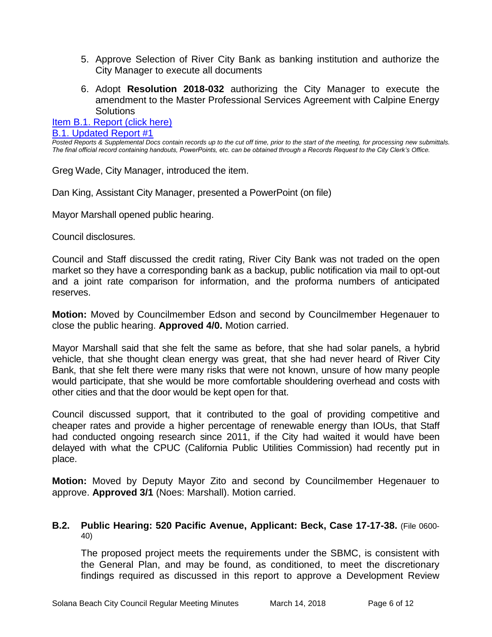- 5. Approve Selection of River City Bank as banking institution and authorize the City Manager to execute all documents
- 6. Adopt **Resolution 2018-032** authorizing the City Manager to execute the amendment to the Master Professional Services Agreement with Calpine Energy **Solutions**

## [Item B.1. Report \(click here\)](https://solanabeach.govoffice3.com/vertical/Sites/%7B840804C2-F869-4904-9AE3-720581350CE7%7D/uploads/Item_B.1._Report_(click_here)_-_3-14-18.PDF)

#### [B.1. Updated Report #1](https://solanabeach.govoffice3.com/vertical/Sites/%7B840804C2-F869-4904-9AE3-720581350CE7%7D/uploads/B.1._Updated_Report_1_-_03-14-18.pdf)

*Posted Reports & Supplemental Docs contain records up to the cut off time, prior to the start of the meeting, for processing new submittals. The final official record containing handouts, PowerPoints, etc. can be obtained through a Records Request to the City Clerk's Office.*

Greg Wade, City Manager, introduced the item.

Dan King, Assistant City Manager, presented a PowerPoint (on file)

Mayor Marshall opened public hearing.

Council disclosures.

Council and Staff discussed the credit rating, River City Bank was not traded on the open market so they have a corresponding bank as a backup, public notification via mail to opt-out and a joint rate comparison for information, and the proforma numbers of anticipated reserves.

**Motion:** Moved by Councilmember Edson and second by Councilmember Hegenauer to close the public hearing. **Approved 4/0.** Motion carried.

Mayor Marshall said that she felt the same as before, that she had solar panels, a hybrid vehicle, that she thought clean energy was great, that she had never heard of River City Bank, that she felt there were many risks that were not known, unsure of how many people would participate, that she would be more comfortable shouldering overhead and costs with other cities and that the door would be kept open for that.

Council discussed support, that it contributed to the goal of providing competitive and cheaper rates and provide a higher percentage of renewable energy than IOUs, that Staff had conducted ongoing research since 2011, if the City had waited it would have been delayed with what the CPUC (California Public Utilities Commission) had recently put in place.

**Motion:** Moved by Deputy Mayor Zito and second by Councilmember Hegenauer to approve. **Approved 3/1** (Noes: Marshall). Motion carried.

#### **B.2. Public Hearing: 520 Pacific Avenue, Applicant: Beck, Case 17-17-38.** (File 0600- 40)

The proposed project meets the requirements under the SBMC, is consistent with the General Plan, and may be found, as conditioned, to meet the discretionary findings required as discussed in this report to approve a Development Review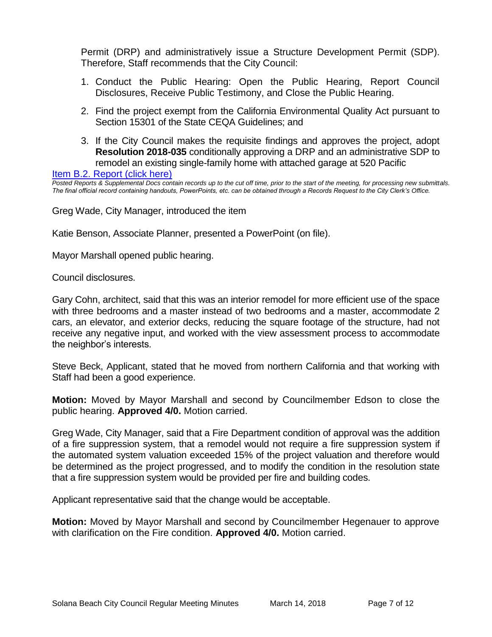Permit (DRP) and administratively issue a Structure Development Permit (SDP). Therefore, Staff recommends that the City Council:

- 1. Conduct the Public Hearing: Open the Public Hearing, Report Council Disclosures, Receive Public Testimony, and Close the Public Hearing.
- 2. Find the project exempt from the California Environmental Quality Act pursuant to Section 15301 of the State CEQA Guidelines; and
- 3. If the City Council makes the requisite findings and approves the project, adopt **Resolution 2018-035** conditionally approving a DRP and an administrative SDP to remodel an existing single-family home with attached garage at 520 Pacific

[Item B.2. Report \(click here\)](https://solanabeach.govoffice3.com/vertical/Sites/%7B840804C2-F869-4904-9AE3-720581350CE7%7D/uploads/Item_B.2._Report_(click_here)_-_3-14-18.PDF)

*Posted Reports & Supplemental Docs contain records up to the cut off time, prior to the start of the meeting, for processing new submittals. The final official record containing handouts, PowerPoints, etc. can be obtained through a Records Request to the City Clerk's Office.*

Greg Wade, City Manager, introduced the item

Katie Benson, Associate Planner, presented a PowerPoint (on file).

Mayor Marshall opened public hearing.

Council disclosures.

Gary Cohn, architect, said that this was an interior remodel for more efficient use of the space with three bedrooms and a master instead of two bedrooms and a master, accommodate 2 cars, an elevator, and exterior decks, reducing the square footage of the structure, had not receive any negative input, and worked with the view assessment process to accommodate the neighbor's interests.

Steve Beck, Applicant, stated that he moved from northern California and that working with Staff had been a good experience.

**Motion:** Moved by Mayor Marshall and second by Councilmember Edson to close the public hearing. **Approved 4/0.** Motion carried.

Greg Wade, City Manager, said that a Fire Department condition of approval was the addition of a fire suppression system, that a remodel would not require a fire suppression system if the automated system valuation exceeded 15% of the project valuation and therefore would be determined as the project progressed, and to modify the condition in the resolution state that a fire suppression system would be provided per fire and building codes.

Applicant representative said that the change would be acceptable.

**Motion:** Moved by Mayor Marshall and second by Councilmember Hegenauer to approve with clarification on the Fire condition. **Approved 4/0.** Motion carried.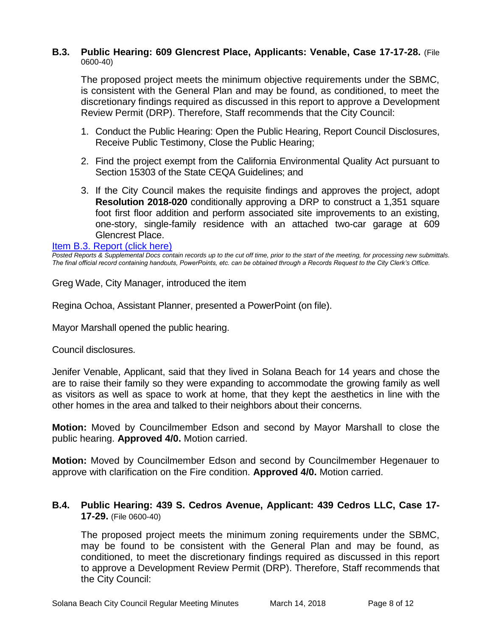#### **B.3. Public Hearing: 609 Glencrest Place, Applicants: Venable, Case 17-17-28.** (File 0600-40)

The proposed project meets the minimum objective requirements under the SBMC, is consistent with the General Plan and may be found, as conditioned, to meet the discretionary findings required as discussed in this report to approve a Development Review Permit (DRP). Therefore, Staff recommends that the City Council:

- 1. Conduct the Public Hearing: Open the Public Hearing, Report Council Disclosures, Receive Public Testimony, Close the Public Hearing;
- 2. Find the project exempt from the California Environmental Quality Act pursuant to Section 15303 of the State CEQA Guidelines; and
- 3. If the City Council makes the requisite findings and approves the project, adopt **Resolution 2018-020** conditionally approving a DRP to construct a 1,351 square foot first floor addition and perform associated site improvements to an existing, one-story, single-family residence with an attached two-car garage at 609 Glencrest Place.

#### [Item B.3. Report \(click here\)](https://solanabeach.govoffice3.com/vertical/Sites/%7B840804C2-F869-4904-9AE3-720581350CE7%7D/uploads/Item_B.3._Report_(click_here)_-_3-14-18.PDF)

*Posted Reports & Supplemental Docs contain records up to the cut off time, prior to the start of the meeting, for processing new submittals. The final official record containing handouts, PowerPoints, etc. can be obtained through a Records Request to the City Clerk's Office.*

Greg Wade, City Manager, introduced the item

Regina Ochoa, Assistant Planner, presented a PowerPoint (on file).

Mayor Marshall opened the public hearing.

Council disclosures.

Jenifer Venable, Applicant, said that they lived in Solana Beach for 14 years and chose the are to raise their family so they were expanding to accommodate the growing family as well as visitors as well as space to work at home, that they kept the aesthetics in line with the other homes in the area and talked to their neighbors about their concerns.

**Motion:** Moved by Councilmember Edson and second by Mayor Marshall to close the public hearing. **Approved 4/0.** Motion carried.

**Motion:** Moved by Councilmember Edson and second by Councilmember Hegenauer to approve with clarification on the Fire condition. **Approved 4/0.** Motion carried.

#### **B.4. Public Hearing: 439 S. Cedros Avenue, Applicant: 439 Cedros LLC, Case 17- 17-29.** (File 0600-40)

The proposed project meets the minimum zoning requirements under the SBMC, may be found to be consistent with the General Plan and may be found, as conditioned, to meet the discretionary findings required as discussed in this report to approve a Development Review Permit (DRP). Therefore, Staff recommends that the City Council: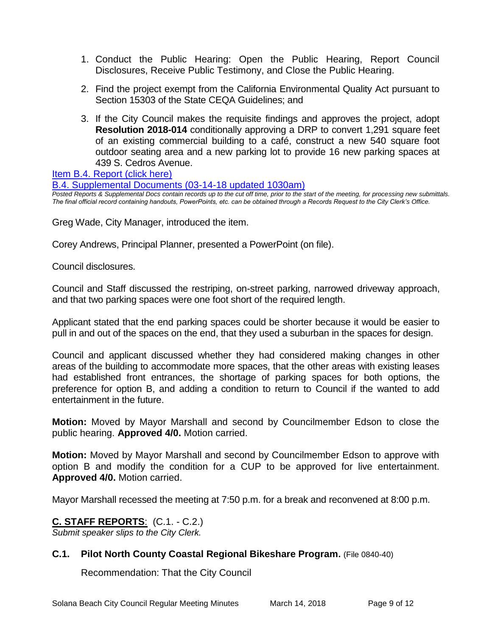- 1. Conduct the Public Hearing: Open the Public Hearing, Report Council Disclosures, Receive Public Testimony, and Close the Public Hearing.
- 2. Find the project exempt from the California Environmental Quality Act pursuant to Section 15303 of the State CEQA Guidelines; and
- 3. If the City Council makes the requisite findings and approves the project, adopt **Resolution 2018-014** conditionally approving a DRP to convert 1,291 square feet of an existing commercial building to a café, construct a new 540 square foot outdoor seating area and a new parking lot to provide 16 new parking spaces at 439 S. Cedros Avenue.

[Item B.4. Report \(click here\)](https://solanabeach.govoffice3.com/vertical/Sites/%7B840804C2-F869-4904-9AE3-720581350CE7%7D/uploads/Item_B.4._Report_(click_here)_-_3-14-18_.PDF)

[B.4. Supplemental Documents \(03-14-18 updated 1030am\)](https://solanabeach.govoffice3.com/vertical/Sites/%7B840804C2-F869-4904-9AE3-720581350CE7%7D/uploads/B.4.a._McGarry_-_03-14-18_(1030am)_-_R.PDF) *Posted Reports & Supplemental Docs contain records up to the cut off time, prior to the start of the meeting, for processing new submittals. The final official record containing handouts, PowerPoints, etc. can be obtained through a Records Request to the City Clerk's Office.*

Greg Wade, City Manager, introduced the item.

Corey Andrews, Principal Planner, presented a PowerPoint (on file).

Council disclosures.

Council and Staff discussed the restriping, on-street parking, narrowed driveway approach, and that two parking spaces were one foot short of the required length.

Applicant stated that the end parking spaces could be shorter because it would be easier to pull in and out of the spaces on the end, that they used a suburban in the spaces for design.

Council and applicant discussed whether they had considered making changes in other areas of the building to accommodate more spaces, that the other areas with existing leases had established front entrances, the shortage of parking spaces for both options, the preference for option B, and adding a condition to return to Council if the wanted to add entertainment in the future.

**Motion:** Moved by Mayor Marshall and second by Councilmember Edson to close the public hearing. **Approved 4/0.** Motion carried.

**Motion:** Moved by Mayor Marshall and second by Councilmember Edson to approve with option B and modify the condition for a CUP to be approved for live entertainment. **Approved 4/0.** Motion carried.

Mayor Marshall recessed the meeting at 7:50 p.m. for a break and reconvened at 8:00 p.m.

#### **C. STAFF REPORTS**: (C.1. - C.2.)

*Submit speaker slips to the City Clerk.*

#### **C.1. Pilot North County Coastal Regional Bikeshare Program.** (File 0840-40)

Recommendation: That the City Council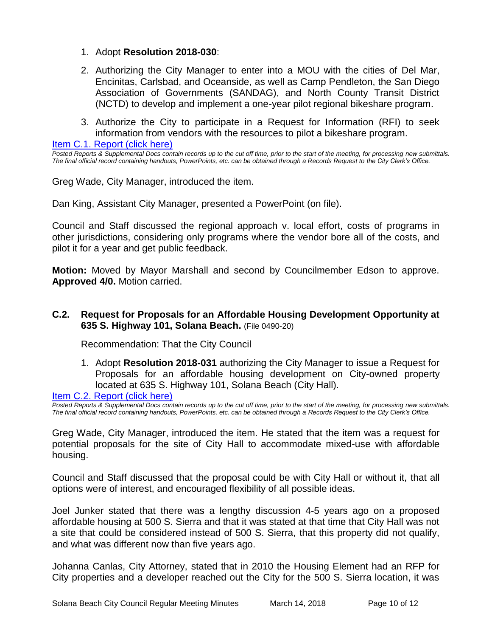- 1. Adopt **Resolution 2018-030**:
- 2. Authorizing the City Manager to enter into a MOU with the cities of Del Mar, Encinitas, Carlsbad, and Oceanside, as well as Camp Pendleton, the San Diego Association of Governments (SANDAG), and North County Transit District (NCTD) to develop and implement a one-year pilot regional bikeshare program.
- 3. Authorize the City to participate in a Request for Information (RFI) to seek information from vendors with the resources to pilot a bikeshare program.

[Item C.1. Report \(click here\)](https://solanabeach.govoffice3.com/vertical/Sites/%7B840804C2-F869-4904-9AE3-720581350CE7%7D/uploads/Item_C.1._Report_(click_here)_-_3-14-18.PDF)

*Posted Reports & Supplemental Docs contain records up to the cut off time, prior to the start of the meeting, for processing new submittals. The final official record containing handouts, PowerPoints, etc. can be obtained through a Records Request to the City Clerk's Office.*

Greg Wade, City Manager, introduced the item.

Dan King, Assistant City Manager, presented a PowerPoint (on file).

Council and Staff discussed the regional approach v. local effort, costs of programs in other jurisdictions, considering only programs where the vendor bore all of the costs, and pilot it for a year and get public feedback.

**Motion:** Moved by Mayor Marshall and second by Councilmember Edson to approve. **Approved 4/0.** Motion carried.

#### **C.2. Request for Proposals for an Affordable Housing Development Opportunity at 635 S. Highway 101, Solana Beach.** (File 0490-20)

Recommendation: That the City Council

1. Adopt **Resolution 2018-031** authorizing the City Manager to issue a Request for Proposals for an affordable housing development on City-owned property located at 635 S. Highway 101, Solana Beach (City Hall).

#### [Item C.2. Report \(click here\)](https://solanabeach.govoffice3.com/vertical/Sites/%7B840804C2-F869-4904-9AE3-720581350CE7%7D/uploads/Item_C.2._Report_(click_here)_-_3-14-18.PDF)

*Posted Reports & Supplemental Docs contain records up to the cut off time, prior to the start of the meeting, for processing new submittals. The final official record containing handouts, PowerPoints, etc. can be obtained through a Records Request to the City Clerk's Office.*

Greg Wade, City Manager, introduced the item. He stated that the item was a request for potential proposals for the site of City Hall to accommodate mixed-use with affordable housing.

Council and Staff discussed that the proposal could be with City Hall or without it, that all options were of interest, and encouraged flexibility of all possible ideas.

Joel Junker stated that there was a lengthy discussion 4-5 years ago on a proposed affordable housing at 500 S. Sierra and that it was stated at that time that City Hall was not a site that could be considered instead of 500 S. Sierra, that this property did not qualify, and what was different now than five years ago.

Johanna Canlas, City Attorney, stated that in 2010 the Housing Element had an RFP for City properties and a developer reached out the City for the 500 S. Sierra location, it was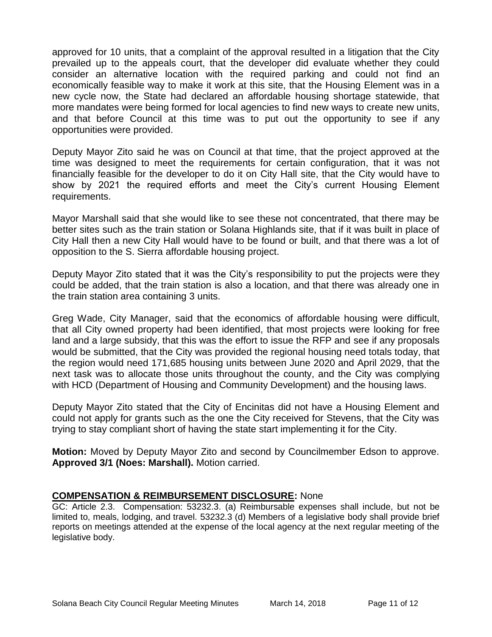approved for 10 units, that a complaint of the approval resulted in a litigation that the City prevailed up to the appeals court, that the developer did evaluate whether they could consider an alternative location with the required parking and could not find an economically feasible way to make it work at this site, that the Housing Element was in a new cycle now, the State had declared an affordable housing shortage statewide, that more mandates were being formed for local agencies to find new ways to create new units, and that before Council at this time was to put out the opportunity to see if any opportunities were provided.

Deputy Mayor Zito said he was on Council at that time, that the project approved at the time was designed to meet the requirements for certain configuration, that it was not financially feasible for the developer to do it on City Hall site, that the City would have to show by 2021 the required efforts and meet the City's current Housing Element requirements.

Mayor Marshall said that she would like to see these not concentrated, that there may be better sites such as the train station or Solana Highlands site, that if it was built in place of City Hall then a new City Hall would have to be found or built, and that there was a lot of opposition to the S. Sierra affordable housing project.

Deputy Mayor Zito stated that it was the City's responsibility to put the projects were they could be added, that the train station is also a location, and that there was already one in the train station area containing 3 units.

Greg Wade, City Manager, said that the economics of affordable housing were difficult, that all City owned property had been identified, that most projects were looking for free land and a large subsidy, that this was the effort to issue the RFP and see if any proposals would be submitted, that the City was provided the regional housing need totals today, that the region would need 171,685 housing units between June 2020 and April 2029, that the next task was to allocate those units throughout the county, and the City was complying with HCD (Department of Housing and Community Development) and the housing laws.

Deputy Mayor Zito stated that the City of Encinitas did not have a Housing Element and could not apply for grants such as the one the City received for Stevens, that the City was trying to stay compliant short of having the state start implementing it for the City.

**Motion:** Moved by Deputy Mayor Zito and second by Councilmember Edson to approve. **Approved 3/1 (Noes: Marshall).** Motion carried.

#### **COMPENSATION & REIMBURSEMENT DISCLOSURE:** None

GC: Article 2.3. Compensation: 53232.3. (a) Reimbursable expenses shall include, but not be limited to, meals, lodging, and travel. 53232.3 (d) Members of a legislative body shall provide brief reports on meetings attended at the expense of the local agency at the next regular meeting of the legislative body.